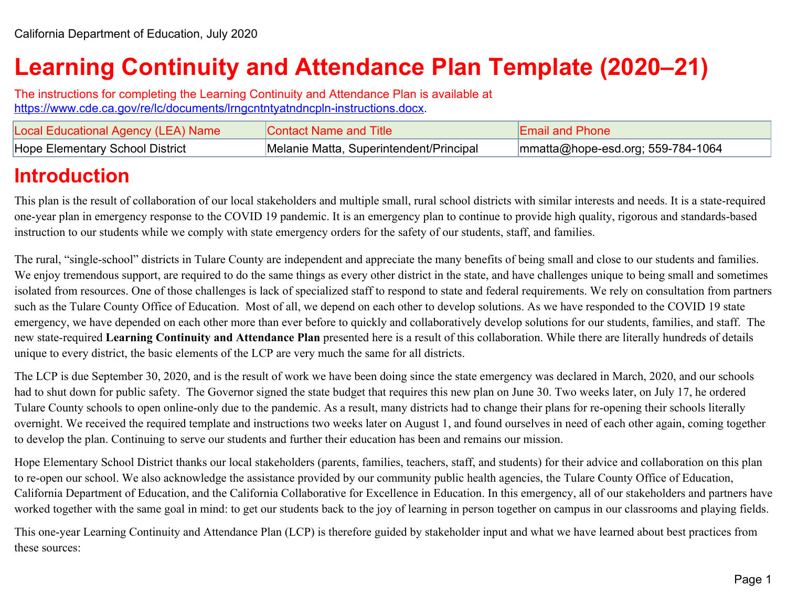# **Learning Continuity and Attendance Plan Template (2020–21)**

The instructions for completing the Learning Continuity and Attendance Plan is available at [https://www.cde.ca.gov/re/lc/documents/lrngcntntyatndncpln-instructions.docx.](https://www.cde.ca.gov/re/lc/documents/lrngcntntyatndncpln-instructions.docx)

| Local Educational Agency (LEA) Name    | Contact Name and Title                  | <b>Email and Phone</b>                       |
|----------------------------------------|-----------------------------------------|----------------------------------------------|
| <b>Hope Elementary School District</b> | Melanie Matta, Superintendent/Principal | $\text{mmatta@ hope-esd.org}$ ; 559-784-1064 |

# **Introduction**

This plan is the result of collaboration of our local stakeholders and multiple small, rural school districts with similar interests and needs. It is a state-required one-year plan in emergency response to the COVID 19 pandemic. It is an emergency plan to continue to provide high quality, rigorous and standards-based instruction to our students while we comply with state emergency orders for the safety of our students, staff, and families.

The rural, "single-school" districts in Tulare County are independent and appreciate the many benefits of being small and close to our students and families. We enjoy tremendous support, are required to do the same things as every other district in the state, and have challenges unique to being small and sometimes isolated from resources. One of those challenges is lack of specialized staff to respond to state and federal requirements. We rely on consultation from partners such as the Tulare County Office of Education. Most of all, we depend on each other to develop solutions. As we have responded to the COVID 19 state emergency, we have depended on each other more than ever before to quickly and collaboratively develop solutions for our students, families, and staff. The new state-required **Learning Continuity and Attendance Plan** presented here is a result of this collaboration. While there are literally hundreds of details unique to every district, the basic elements of the LCP are very much the same for all districts.

The LCP is due September 30, 2020, and is the result of work we have been doing since the state emergency was declared in March, 2020, and our schools had to shut down for public safety. The Governor signed the state budget that requires this new plan on June 30. Two weeks later, on July 17, he ordered Tulare County schools to open online-only due to the pandemic. As a result, many districts had to change their plans for re-opening their schools literally overnight. We received the required template and instructions two weeks later on August 1, and found ourselves in need of each other again, coming together to develop the plan. Continuing to serve our students and further their education has been and remains our mission.

Hope Elementary School District thanks our local stakeholders (parents, families, teachers, staff, and students) for their advice and collaboration on this plan to re-open our school. We also acknowledge the assistance provided by our community public health agencies, the Tulare County Office of Education, California Department of Education, and the California Collaborative for Excellence in Education. In this emergency, all of our stakeholders and partners have worked together with the same goal in mind: to get our students back to the joy of learning in person together on campus in our classrooms and playing fields.

This one-year Learning Continuity and Attendance Plan (LCP) is therefore guided by stakeholder input and what we have learned about best practices from these sources: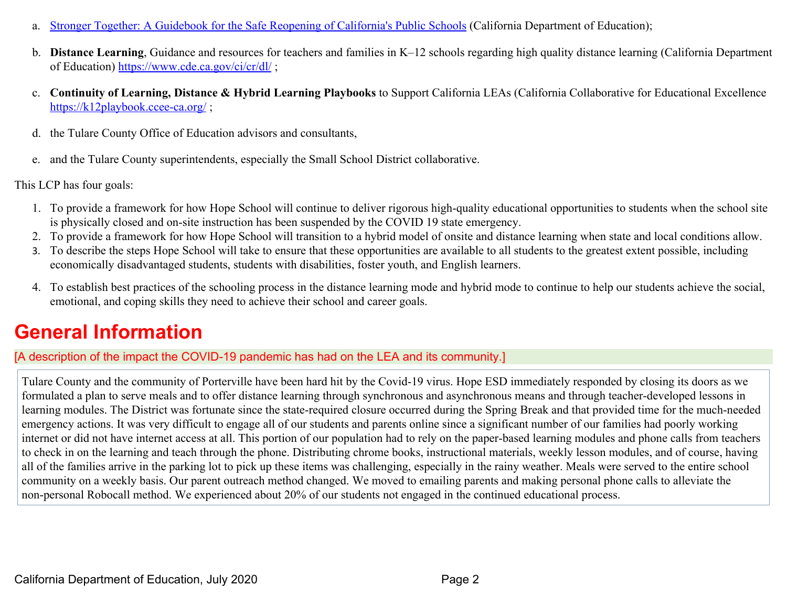- a. [Stronger Together: A Guidebook for the Safe Reopening of California's Public Schools](https://www.cde.ca.gov/ls/he/hn/documents/strongertogether.pdf) (California Department of Education);
- b. **Distance Learning**, Guidance and resources for teachers and families in K–12 schools regarding high quality distance learning (California Department of Education) <https://www.cde.ca.gov/ci/cr/dl/> ;
- c. **Continuity of Learning, Distance & Hybrid Learning Playbooks** to Support California LEAs (California Collaborative for Educational Excellence <https://k12playbook.ccee-ca.org/>;
- d. the Tulare County Office of Education advisors and consultants,
- e. and the Tulare County superintendents, especially the Small School District collaborative.

This LCP has four goals:

- 1. To provide a framework for how Hope School will continue to deliver rigorous high-quality educational opportunities to students when the school site is physically closed and on-site instruction has been suspended by the COVID 19 state emergency.
- 2. To provide a framework for how Hope School will transition to a hybrid model of onsite and distance learning when state and local conditions allow.
- 3. To describe the steps Hope School will take to ensure that these opportunities are available to all students to the greatest extent possible, including economically disadvantaged students, students with disabilities, foster youth, and English learners.
- 4. To establish best practices of the schooling process in the distance learning mode and hybrid mode to continue to help our students achieve the social, emotional, and coping skills they need to achieve their school and career goals.

# **General Information**

[A description of the impact the COVID-19 pandemic has had on the LEA and its community.]

Tulare County and the community of Porterville have been hard hit by the Covid-19 virus. Hope ESD immediately responded by closing its doors as we formulated a plan to serve meals and to offer distance learning through synchronous and asynchronous means and through teacher-developed lessons in learning modules. The District was fortunate since the state-required closure occurred during the Spring Break and that provided time for the much-needed emergency actions. It was very difficult to engage all of our students and parents online since a significant number of our families had poorly working internet or did not have internet access at all. This portion of our population had to rely on the paper-based learning modules and phone calls from teachers to check in on the learning and teach through the phone. Distributing chrome books, instructional materials, weekly lesson modules, and of course, having all of the families arrive in the parking lot to pick up these items was challenging, especially in the rainy weather. Meals were served to the entire school community on a weekly basis. Our parent outreach method changed. We moved to emailing parents and making personal phone calls to alleviate the non-personal Robocall method. We experienced about 20% of our students not engaged in the continued educational process.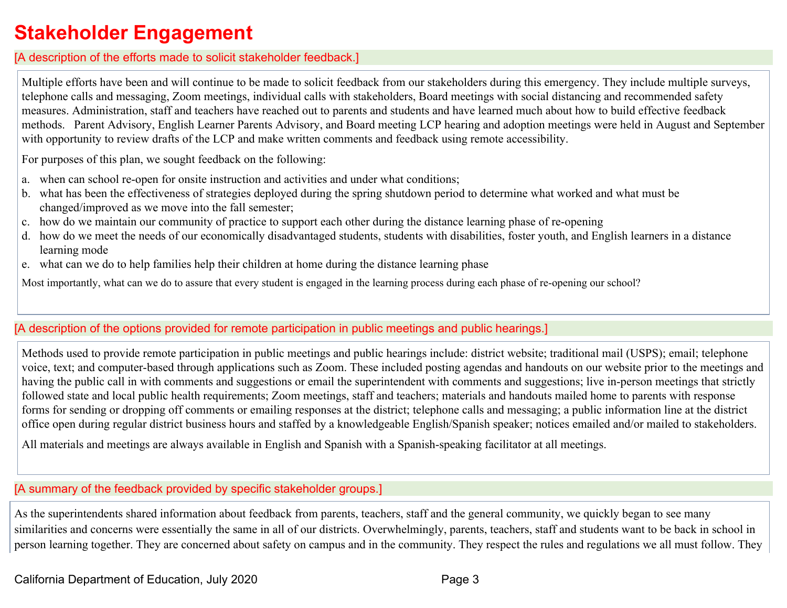# **Stakeholder Engagement**

#### [A description of the efforts made to solicit stakeholder feedback.]

Multiple efforts have been and will continue to be made to solicit feedback from our stakeholders during this emergency. They include multiple surveys, telephone calls and messaging, Zoom meetings, individual calls with stakeholders, Board meetings with social distancing and recommended safety measures. Administration, staff and teachers have reached out to parents and students and have learned much about how to build effective feedback methods. Parent Advisory, English Learner Parents Advisory, and Board meeting LCP hearing and adoption meetings were held in August and September with opportunity to review drafts of the LCP and make written comments and feedback using remote accessibility.

For purposes of this plan, we sought feedback on the following:

- a. when can school re-open for onsite instruction and activities and under what conditions;
- b. what has been the effectiveness of strategies deployed during the spring shutdown period to determine what worked and what must be changed/improved as we move into the fall semester;
- c. how do we maintain our community of practice to support each other during the distance learning phase of re-opening
- d. how do we meet the needs of our economically disadvantaged students, students with disabilities, foster youth, and English learners in a distance learning mode
- e. what can we do to help families help their children at home during the distance learning phase

Most importantly, what can we do to assure that every student is engaged in the learning process during each phase of re-opening our school?

### [A description of the options provided for remote participation in public meetings and public hearings.]

Methods used to provide remote participation in public meetings and public hearings include: district website; traditional mail (USPS); email; telephone voice, text; and computer-based through applications such as Zoom. These included posting agendas and handouts on our website prior to the meetings and having the public call in with comments and suggestions or email the superintendent with comments and suggestions; live in-person meetings that strictly followed state and local public health requirements; Zoom meetings, staff and teachers; materials and handouts mailed home to parents with response forms for sending or dropping off comments or emailing responses at the district; telephone calls and messaging; a public information line at the district office open during regular district business hours and staffed by a knowledgeable English/Spanish speaker; notices emailed and/or mailed to stakeholders.

All materials and meetings are always available in English and Spanish with a Spanish-speaking facilitator at all meetings.

#### [A summary of the feedback provided by specific stakeholder groups.]

As the superintendents shared information about feedback from parents, teachers, staff and the general community, we quickly began to see many similarities and concerns were essentially the same in all of our districts. Overwhelmingly, parents, teachers, staff and students want to be back in school in person learning together. They are concerned about safety on campus and in the community. They respect the rules and regulations we all must follow. They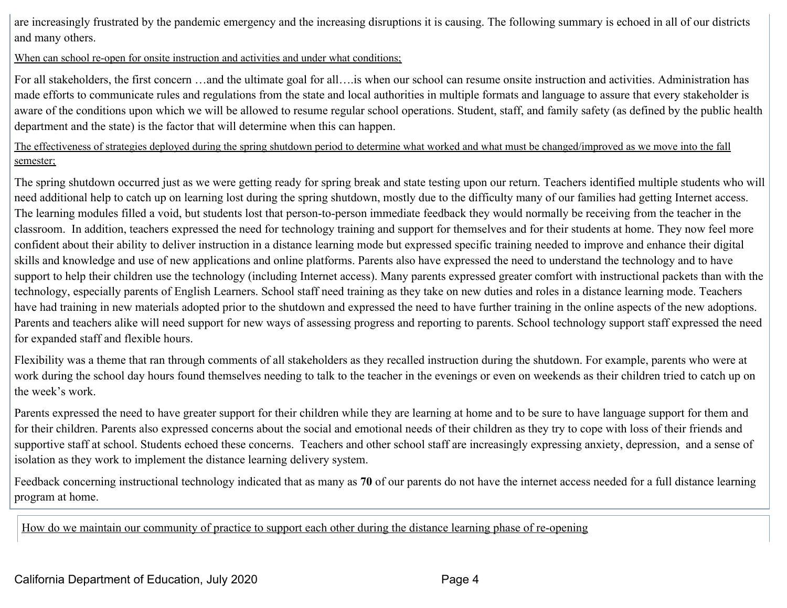are increasingly frustrated by the pandemic emergency and the increasing disruptions it is causing. The following summary is echoed in all of our districts and many others.

#### When can school re-open for onsite instruction and activities and under what conditions;

For all stakeholders, the first concern …and the ultimate goal for all….is when our school can resume onsite instruction and activities. Administration has made efforts to communicate rules and regulations from the state and local authorities in multiple formats and language to assure that every stakeholder is aware of the conditions upon which we will be allowed to resume regular school operations. Student, staff, and family safety (as defined by the public health department and the state) is the factor that will determine when this can happen.

The effectiveness of strategies deployed during the spring shutdown period to determine what worked and what must be changed/improved as we move into the fall semester;

The spring shutdown occurred just as we were getting ready for spring break and state testing upon our return. Teachers identified multiple students who will need additional help to catch up on learning lost during the spring shutdown, mostly due to the difficulty many of our families had getting Internet access. The learning modules filled a void, but students lost that person-to-person immediate feedback they would normally be receiving from the teacher in the classroom. In addition, teachers expressed the need for technology training and support for themselves and for their students at home. They now feel more confident about their ability to deliver instruction in a distance learning mode but expressed specific training needed to improve and enhance their digital skills and knowledge and use of new applications and online platforms. Parents also have expressed the need to understand the technology and to have support to help their children use the technology (including Internet access). Many parents expressed greater comfort with instructional packets than with the technology, especially parents of English Learners. School staff need training as they take on new duties and roles in a distance learning mode. Teachers have had training in new materials adopted prior to the shutdown and expressed the need to have further training in the online aspects of the new adoptions. Parents and teachers alike will need support for new ways of assessing progress and reporting to parents. School technology support staff expressed the need for expanded staff and flexible hours.

Flexibility was a theme that ran through comments of all stakeholders as they recalled instruction during the shutdown. For example, parents who were at work during the school day hours found themselves needing to talk to the teacher in the evenings or even on weekends as their children tried to catch up on the week's work.

Parents expressed the need to have greater support for their children while they are learning at home and to be sure to have language support for them and for their children. Parents also expressed concerns about the social and emotional needs of their children as they try to cope with loss of their friends and supportive staff at school. Students echoed these concerns. Teachers and other school staff are increasingly expressing anxiety, depression, and a sense of isolation as they work to implement the distance learning delivery system.

Feedback concerning instructional technology indicated that as many as **70** of our parents do not have the internet access needed for a full distance learning program at home.

How do we maintain our community of practice to support each other during the distance learning phase of re-opening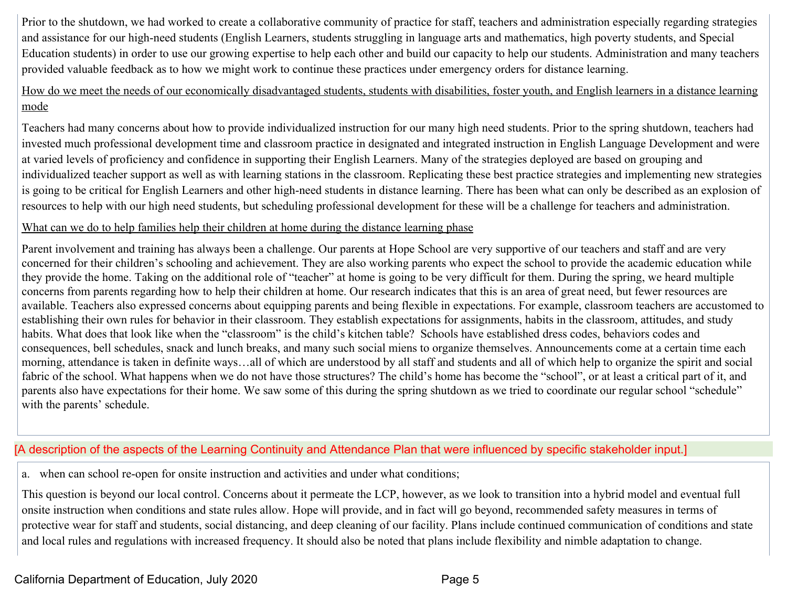Prior to the shutdown, we had worked to create a collaborative community of practice for staff, teachers and administration especially regarding strategies and assistance for our high-need students (English Learners, students struggling in language arts and mathematics, high poverty students, and Special Education students) in order to use our growing expertise to help each other and build our capacity to help our students. Administration and many teachers provided valuable feedback as to how we might work to continue these practices under emergency orders for distance learning.

#### How do we meet the needs of our economically disadvantaged students, students with disabilities, foster youth, and English learners in a distance learning mode

Teachers had many concerns about how to provide individualized instruction for our many high need students. Prior to the spring shutdown, teachers had invested much professional development time and classroom practice in designated and integrated instruction in English Language Development and were at varied levels of proficiency and confidence in supporting their English Learners. Many of the strategies deployed are based on grouping and individualized teacher support as well as with learning stations in the classroom. Replicating these best practice strategies and implementing new strategies is going to be critical for English Learners and other high-need students in distance learning. There has been what can only be described as an explosion of resources to help with our high need students, but scheduling professional development for these will be a challenge for teachers and administration.

#### What can we do to help families help their children at home during the distance learning phase

Parent involvement and training has always been a challenge. Our parents at Hope School are very supportive of our teachers and staff and are very concerned for their children's schooling and achievement. They are also working parents who expect the school to provide the academic education while they provide the home. Taking on the additional role of "teacher" at home is going to be very difficult for them. During the spring, we heard multiple concerns from parents regarding how to help their children at home. Our research indicates that this is an area of great need, but fewer resources are available. Teachers also expressed concerns about equipping parents and being flexible in expectations. For example, classroom teachers are accustomed to establishing their own rules for behavior in their classroom. They establish expectations for assignments, habits in the classroom, attitudes, and study habits. What does that look like when the "classroom" is the child's kitchen table? Schools have established dress codes, behaviors codes and consequences, bell schedules, snack and lunch breaks, and many such social miens to organize themselves. Announcements come at a certain time each morning, attendance is taken in definite ways…all of which are understood by all staff and students and all of which help to organize the spirit and social fabric of the school. What happens when we do not have those structures? The child's home has become the "school", or at least a critical part of it, and parents also have expectations for their home. We saw some of this during the spring shutdown as we tried to coordinate our regular school "schedule" with the parents' schedule.

### [A description of the aspects of the Learning Continuity and Attendance Plan that were influenced by specific stakeholder input.]

a. when can school re-open for onsite instruction and activities and under what conditions;

This question is beyond our local control. Concerns about it permeate the LCP, however, as we look to transition into a hybrid model and eventual full onsite instruction when conditions and state rules allow. Hope will provide, and in fact will go beyond, recommended safety measures in terms of protective wear for staff and students, social distancing, and deep cleaning of our facility. Plans include continued communication of conditions and state and local rules and regulations with increased frequency. It should also be noted that plans include flexibility and nimble adaptation to change.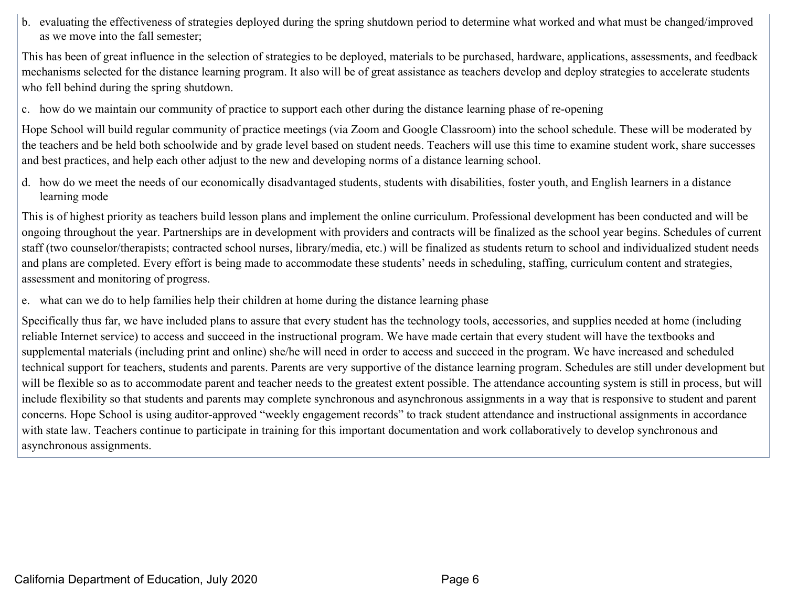b. evaluating the effectiveness of strategies deployed during the spring shutdown period to determine what worked and what must be changed/improved as we move into the fall semester;

This has been of great influence in the selection of strategies to be deployed, materials to be purchased, hardware, applications, assessments, and feedback mechanisms selected for the distance learning program. It also will be of great assistance as teachers develop and deploy strategies to accelerate students who fell behind during the spring shutdown.

c. how do we maintain our community of practice to support each other during the distance learning phase of re-opening

Hope School will build regular community of practice meetings (via Zoom and Google Classroom) into the school schedule. These will be moderated by the teachers and be held both schoolwide and by grade level based on student needs. Teachers will use this time to examine student work, share successes and best practices, and help each other adjust to the new and developing norms of a distance learning school.

d. how do we meet the needs of our economically disadvantaged students, students with disabilities, foster youth, and English learners in a distance learning mode

This is of highest priority as teachers build lesson plans and implement the online curriculum. Professional development has been conducted and will be ongoing throughout the year. Partnerships are in development with providers and contracts will be finalized as the school year begins. Schedules of current staff (two counselor/therapists; contracted school nurses, library/media, etc.) will be finalized as students return to school and individualized student needs and plans are completed. Every effort is being made to accommodate these students' needs in scheduling, staffing, curriculum content and strategies, assessment and monitoring of progress.

e. what can we do to help families help their children at home during the distance learning phase

Specifically thus far, we have included plans to assure that every student has the technology tools, accessories, and supplies needed at home (including reliable Internet service) to access and succeed in the instructional program. We have made certain that every student will have the textbooks and supplemental materials (including print and online) she/he will need in order to access and succeed in the program. We have increased and scheduled technical support for teachers, students and parents. Parents are very supportive of the distance learning program. Schedules are still under development but will be flexible so as to accommodate parent and teacher needs to the greatest extent possible. The attendance accounting system is still in process, but will include flexibility so that students and parents may complete synchronous and asynchronous assignments in a way that is responsive to student and parent concerns. Hope School is using auditor-approved "weekly engagement records" to track student attendance and instructional assignments in accordance with state law. Teachers continue to participate in training for this important documentation and work collaboratively to develop synchronous and asynchronous assignments.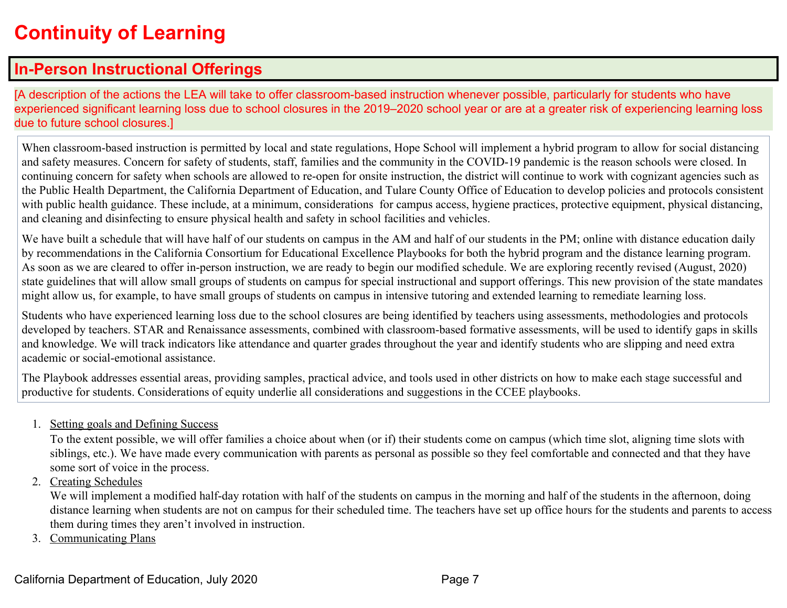# **Continuity of Learning**

## **In-Person Instructional Offerings**

[A description of the actions the LEA will take to offer classroom-based instruction whenever possible, particularly for students who have experienced significant learning loss due to school closures in the 2019–2020 school year or are at a greater risk of experiencing learning loss due to future school closures.]

When classroom-based instruction is permitted by local and state regulations, Hope School will implement a hybrid program to allow for social distancing and safety measures. Concern for safety of students, staff, families and the community in the COVID-19 pandemic is the reason schools were closed. In continuing concern for safety when schools are allowed to re-open for onsite instruction, the district will continue to work with cognizant agencies such as the Public Health Department, the California Department of Education, and Tulare County Office of Education to develop policies and protocols consistent with public health guidance. These include, at a minimum, considerations for campus access, hygiene practices, protective equipment, physical distancing, and cleaning and disinfecting to ensure physical health and safety in school facilities and vehicles.

We have built a schedule that will have half of our students on campus in the AM and half of our students in the PM; online with distance education daily by recommendations in the California Consortium for Educational Excellence Playbooks for both the hybrid program and the distance learning program. As soon as we are cleared to offer in-person instruction, we are ready to begin our modified schedule. We are exploring recently revised (August, 2020) state guidelines that will allow small groups of students on campus for special instructional and support offerings. This new provision of the state mandates might allow us, for example, to have small groups of students on campus in intensive tutoring and extended learning to remediate learning loss.

Students who have experienced learning loss due to the school closures are being identified by teachers using assessments, methodologies and protocols developed by teachers. STAR and Renaissance assessments, combined with classroom-based formative assessments, will be used to identify gaps in skills and knowledge. We will track indicators like attendance and quarter grades throughout the year and identify students who are slipping and need extra academic or social-emotional assistance.

The Playbook addresses essential areas, providing samples, practical advice, and tools used in other districts on how to make each stage successful and productive for students. Considerations of equity underlie all considerations and suggestions in the CCEE playbooks.

1. Setting goals and Defining Success

To the extent possible, we will offer families a choice about when (or if) their students come on campus (which time slot, aligning time slots with siblings, etc.). We have made every communication with parents as personal as possible so they feel comfortable and connected and that they have some sort of voice in the process.

2. Creating Schedules

We will implement a modified half-day rotation with half of the students on campus in the morning and half of the students in the afternoon, doing distance learning when students are not on campus for their scheduled time. The teachers have set up office hours for the students and parents to access them during times they aren't involved in instruction.

3. Communicating Plans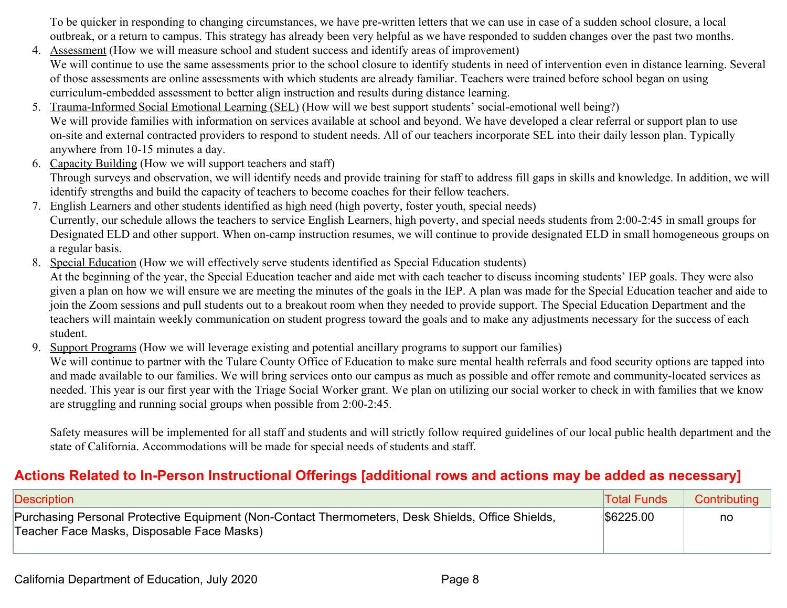To be quicker in responding to changing circumstances, we have pre-written letters that we can use in case of a sudden school closure, a local outbreak, or a return to campus. This strategy has already been very helpful as we have responded to sudden changes over the past two months.

- 4. Assessment (How we will measure school and student success and identify areas of improvement) We will continue to use the same assessments prior to the school closure to identify students in need of intervention even in distance learning. Several of those assessments are online assessments with which students are already familiar. Teachers were trained before school began on using curriculum-embedded assessment to better align instruction and results during distance learning.
- 5. Trauma-Informed Social Emotional Learning (SEL) (How will we best support students' social-emotional well being?) We will provide families with information on services available at school and beyond. We have developed a clear referral or support plan to use on-site and external contracted providers to respond to student needs. All of our teachers incorporate SEL into their daily lesson plan. Typically anywhere from 10-15 minutes a day.
- 6. Capacity Building (How we will support teachers and staff) Through surveys and observation, we will identify needs and provide training for staff to address fill gaps in skills and knowledge. In addition, we will identify strengths and build the capacity of teachers to become coaches for their fellow teachers.
- 7. English Learners and other students identified as high need (high poverty, foster youth, special needs) Currently, our schedule allows the teachers to service English Learners, high poverty, and special needs students from 2:00-2:45 in small groups for Designated ELD and other support. When on-camp instruction resumes, we will continue to provide designated ELD in small homogeneous groups on a regular basis.
- 8. Special Education (How we will effectively serve students identified as Special Education students)

At the beginning of the year, the Special Education teacher and aide met with each teacher to discuss incoming students' IEP goals. They were also given a plan on how we will ensure we are meeting the minutes of the goals in the IEP. A plan was made for the Special Education teacher and aide to join the Zoom sessions and pull students out to a breakout room when they needed to provide support. The Special Education Department and the teachers will maintain weekly communication on student progress toward the goals and to make any adjustments necessary for the success of each student.

9. Support Programs (How we will leverage existing and potential ancillary programs to support our families)

We will continue to partner with the Tulare County Office of Education to make sure mental health referrals and food security options are tapped into and made available to our families. We will bring services onto our campus as much as possible and offer remote and community-located services as needed. This year is our first year with the Triage Social Worker grant. We plan on utilizing our social worker to check in with families that we know are struggling and running social groups when possible from 2:00-2:45.

Safety measures will be implemented for all staff and students and will strictly follow required guidelines of our local public health department and the state of California. Accommodations will be made for special needs of students and staff.

## **Actions Related to In-Person Instructional Offerings [additional rows and actions may be added as necessary]**

| Description                                                                                                                                     | <b>Total Funds</b> | Contributing |
|-------------------------------------------------------------------------------------------------------------------------------------------------|--------------------|--------------|
| Purchasing Personal Protective Equipment (Non-Contact Thermometers, Desk Shields, Office Shields,<br>Teacher Face Masks, Disposable Face Masks) | \$6225.00          | no           |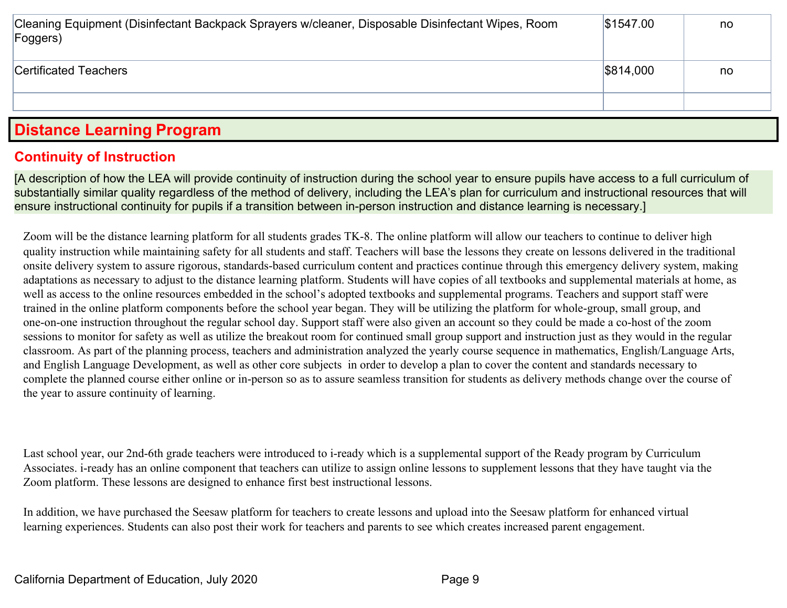| Cleaning Equipment (Disinfectant Backpack Sprayers w/cleaner, Disposable Disinfectant Wipes, Room<br>Foggers) | \$1547.00 | no |
|---------------------------------------------------------------------------------------------------------------|-----------|----|
| Certificated Teachers                                                                                         | \$814,000 | no |
|                                                                                                               |           |    |

## **Distance Learning Program**

### **Continuity of Instruction**

[A description of how the LEA will provide continuity of instruction during the school year to ensure pupils have access to a full curriculum of substantially similar quality regardless of the method of delivery, including the LEA's plan for curriculum and instructional resources that will ensure instructional continuity for pupils if a transition between in-person instruction and distance learning is necessary.]

Zoom will be the distance learning platform for all students grades TK-8. The online platform will allow our teachers to continue to deliver high quality instruction while maintaining safety for all students and staff. Teachers will base the lessons they create on lessons delivered in the traditional onsite delivery system to assure rigorous, standards-based curriculum content and practices continue through this emergency delivery system, making adaptations as necessary to adjust to the distance learning platform. Students will have copies of all textbooks and supplemental materials at home, as well as access to the online resources embedded in the school's adopted textbooks and supplemental programs. Teachers and support staff were trained in the online platform components before the school year began. They will be utilizing the platform for whole-group, small group, and one-on-one instruction throughout the regular school day. Support staff were also given an account so they could be made a co-host of the zoom sessions to monitor for safety as well as utilize the breakout room for continued small group support and instruction just as they would in the regular classroom. As part of the planning process, teachers and administration analyzed the yearly course sequence in mathematics, English/Language Arts, and English Language Development, as well as other core subjects in order to develop a plan to cover the content and standards necessary to complete the planned course either online or in-person so as to assure seamless transition for students as delivery methods change over the course of the year to assure continuity of learning.

Last school year, our 2nd-6th grade teachers were introduced to i-ready which is a supplemental support of the Ready program by Curriculum Associates. i-ready has an online component that teachers can utilize to assign online lessons to supplement lessons that they have taught via the Zoom platform. These lessons are designed to enhance first best instructional lessons.

In addition, we have purchased the Seesaw platform for teachers to create lessons and upload into the Seesaw platform for enhanced virtual learning experiences. Students can also post their work for teachers and parents to see which creates increased parent engagement.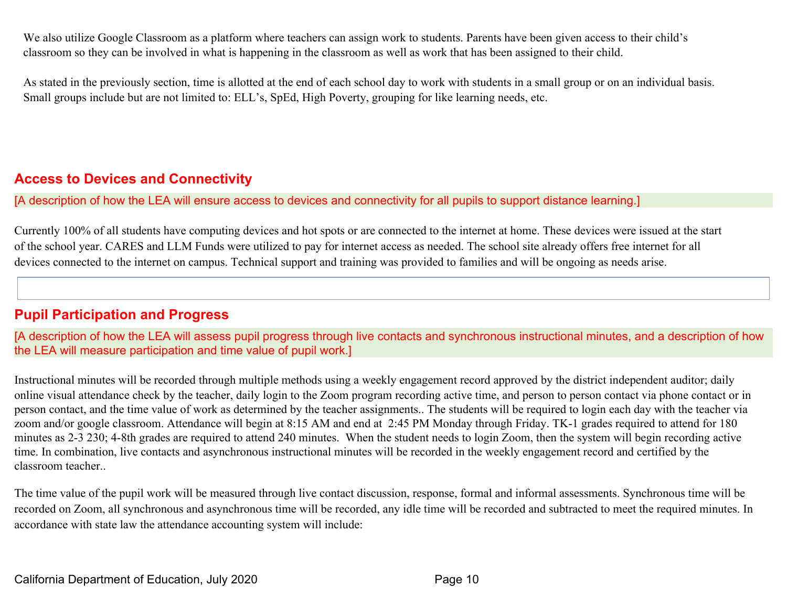We also utilize Google Classroom as a platform where teachers can assign work to students. Parents have been given access to their child's classroom so they can be involved in what is happening in the classroom as well as work that has been assigned to their child.

As stated in the previously section, time is allotted at the end of each school day to work with students in a small group or on an individual basis. Small groups include but are not limited to: ELL's, SpEd, High Poverty, grouping for like learning needs, etc.

### **Access to Devices and Connectivity**

[A description of how the LEA will ensure access to devices and connectivity for all pupils to support distance learning.]

Currently 100% of all students have computing devices and hot spots or are connected to the internet at home. These devices were issued at the start of the school year. CARES and LLM Funds were utilized to pay for internet access as needed. The school site already offers free internet for all devices connected to the internet on campus. Technical support and training was provided to families and will be ongoing as needs arise.

### **Pupil Participation and Progress**

[A description of how the LEA will assess pupil progress through live contacts and synchronous instructional minutes, and a description of how the LEA will measure participation and time value of pupil work.]

Instructional minutes will be recorded through multiple methods using a weekly engagement record approved by the district independent auditor; daily online visual attendance check by the teacher, daily login to the Zoom program recording active time, and person to person contact via phone contact or in person contact, and the time value of work as determined by the teacher assignments.. The students will be required to login each day with the teacher via zoom and/or google classroom. Attendance will begin at 8:15 AM and end at 2:45 PM Monday through Friday. TK-1 grades required to attend for 180 minutes as 2-3 230; 4-8th grades are required to attend 240 minutes. When the student needs to login Zoom, then the system will begin recording active time. In combination, live contacts and asynchronous instructional minutes will be recorded in the weekly engagement record and certified by the classroom teacher..

The time value of the pupil work will be measured through live contact discussion, response, formal and informal assessments. Synchronous time will be recorded on Zoom, all synchronous and asynchronous time will be recorded, any idle time will be recorded and subtracted to meet the required minutes. In accordance with state law the attendance accounting system will include: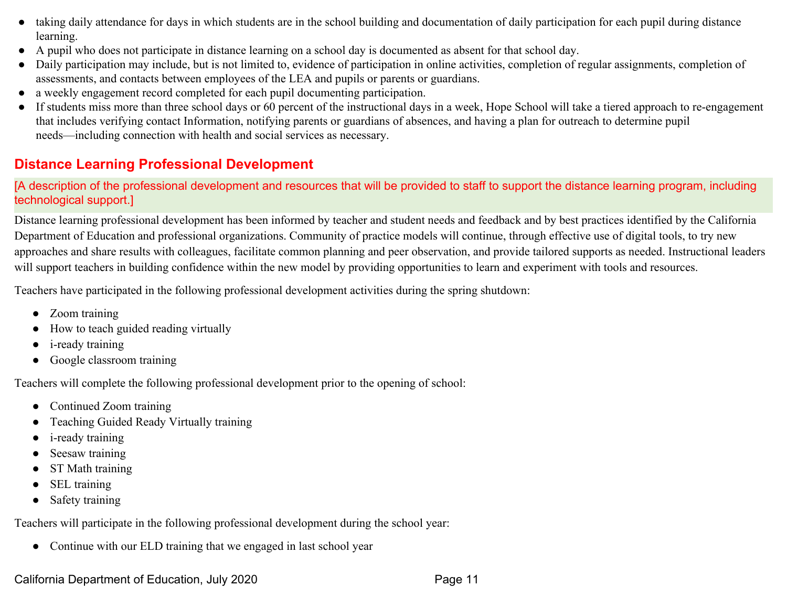- taking daily attendance for days in which students are in the school building and documentation of daily participation for each pupil during distance learning.
- A pupil who does not participate in distance learning on a school day is documented as absent for that school day.
- Daily participation may include, but is not limited to, evidence of participation in online activities, completion of regular assignments, completion of assessments, and contacts between employees of the LEA and pupils or parents or guardians.
- a weekly engagement record completed for each pupil documenting participation.
- If students miss more than three school days or 60 percent of the instructional days in a week, Hope School will take a tiered approach to re-engagement that includes verifying contact Information, notifying parents or guardians of absences, and having a plan for outreach to determine pupil needs—including connection with health and social services as necessary.

## **Distance Learning Professional Development**

[A description of the professional development and resources that will be provided to staff to support the distance learning program, including technological support.]

Distance learning professional development has been informed by teacher and student needs and feedback and by best practices identified by the California Department of Education and professional organizations. Community of practice models will continue, through effective use of digital tools, to try new approaches and share results with colleagues, facilitate common planning and peer observation, and provide tailored supports as needed. Instructional leaders will support teachers in building confidence within the new model by providing opportunities to learn and experiment with tools and resources.

Teachers have participated in the following professional development activities during the spring shutdown:

- Zoom training
- How to teach guided reading virtually
- *i*-ready training
- Google classroom training

Teachers will complete the following professional development prior to the opening of school:

- Continued Zoom training
- Teaching Guided Ready Virtually training
- i-ready training
- Seesaw training
- ST Math training
- SEL training
- Safety training

Teachers will participate in the following professional development during the school year:

• Continue with our ELD training that we engaged in last school year

California Department of Education, July 2020 Page 11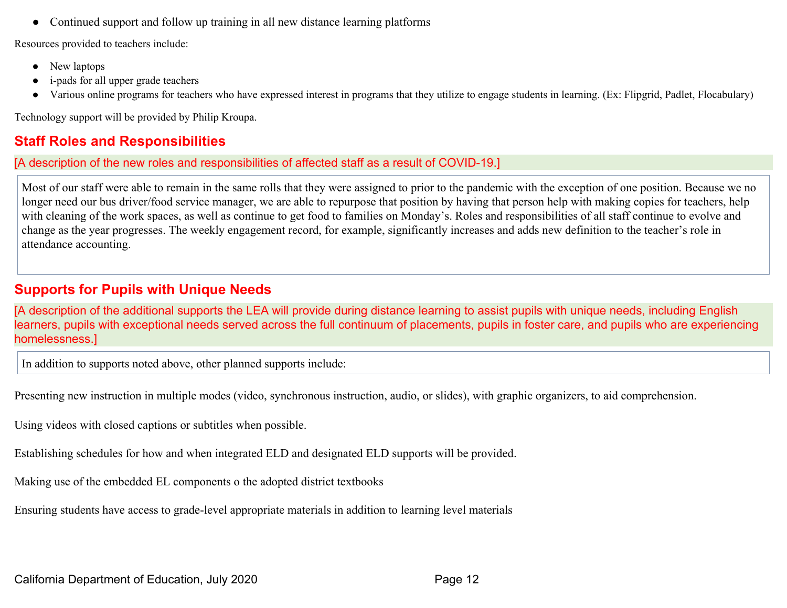● Continued support and follow up training in all new distance learning platforms

Resources provided to teachers include:

- New laptops
- i-pads for all upper grade teachers
- Various online programs for teachers who have expressed interest in programs that they utilize to engage students in learning. (Ex: Flipgrid, Padlet, Flocabulary)

Technology support will be provided by Philip Kroupa.

## **Staff Roles and Responsibilities**

[A description of the new roles and responsibilities of affected staff as a result of COVID-19.]

Most of our staff were able to remain in the same rolls that they were assigned to prior to the pandemic with the exception of one position. Because we no longer need our bus driver/food service manager, we are able to repurpose that position by having that person help with making copies for teachers, help with cleaning of the work spaces, as well as continue to get food to families on Monday's. Roles and responsibilities of all staff continue to evolve and change as the year progresses. The weekly engagement record, for example, significantly increases and adds new definition to the teacher's role in attendance accounting.

### **Supports for Pupils with Unique Needs**

[A description of the additional supports the LEA will provide during distance learning to assist pupils with unique needs, including English learners, pupils with exceptional needs served across the full continuum of placements, pupils in foster care, and pupils who are experiencing homelessness.]

In addition to supports noted above, other planned supports include:

Presenting new instruction in multiple modes (video, synchronous instruction, audio, or slides), with graphic organizers, to aid comprehension.

Using videos with closed captions or subtitles when possible.

Establishing schedules for how and when integrated ELD and designated ELD supports will be provided.

Making use of the embedded EL components o the adopted district textbooks

Ensuring students have access to grade-level appropriate materials in addition to learning level materials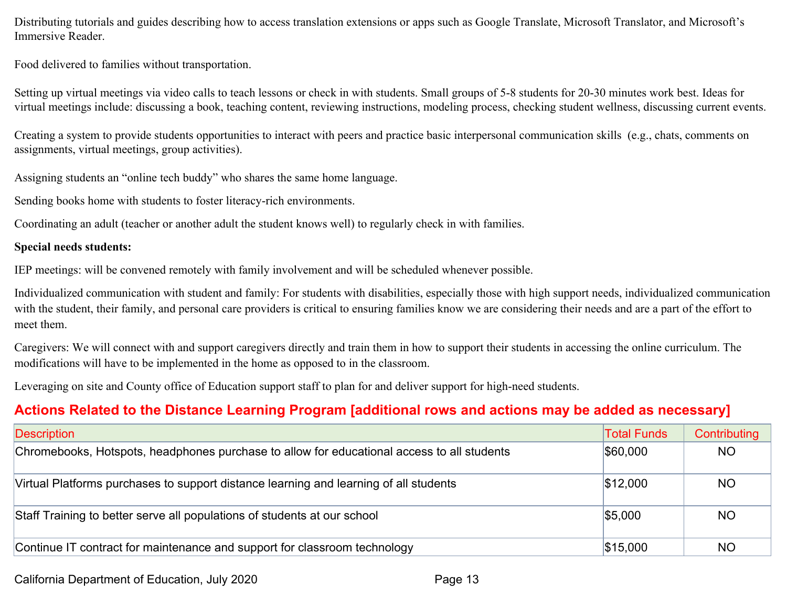Distributing tutorials and guides describing how to access translation extensions or apps such as Google Translate, Microsoft Translator, and Microsoft's Immersive Reader.

Food delivered to families without transportation.

Setting up virtual meetings via video calls to teach lessons or check in with students. Small groups of 5-8 students for 20-30 minutes work best. Ideas for virtual meetings include: discussing a book, teaching content, reviewing instructions, modeling process, checking student wellness, discussing current events.

Creating a system to provide students opportunities to interact with peers and practice basic interpersonal communication skills (e.g., chats, comments on assignments, virtual meetings, group activities).

Assigning students an "online tech buddy" who shares the same home language.

Sending books home with students to foster literacy-rich environments.

Coordinating an adult (teacher or another adult the student knows well) to regularly check in with families.

#### **Special needs students:**

IEP meetings: will be convened remotely with family involvement and will be scheduled whenever possible.

Individualized communication with student and family: For students with disabilities, especially those with high support needs, individualized communication with the student, their family, and personal care providers is critical to ensuring families know we are considering their needs and are a part of the effort to meet them.

Caregivers: We will connect with and support caregivers directly and train them in how to support their students in accessing the online curriculum. The modifications will have to be implemented in the home as opposed to in the classroom.

Leveraging on site and County office of Education support staff to plan for and deliver support for high-need students.

## **Actions Related to the Distance Learning Program [additional rows and actions may be added as necessary]**

| <b>Description</b>                                                                         | <b>Total Funds</b> | Contributing |
|--------------------------------------------------------------------------------------------|--------------------|--------------|
| Chromebooks, Hotspots, headphones purchase to allow for educational access to all students | \$60,000           | <b>NO</b>    |
| Virtual Platforms purchases to support distance learning and learning of all students      | \$12,000           | <b>NO</b>    |
| Staff Training to better serve all populations of students at our school                   | \$5,000            | <b>NO</b>    |
| Continue IT contract for maintenance and support for classroom technology                  | \$15,000           | <b>NO</b>    |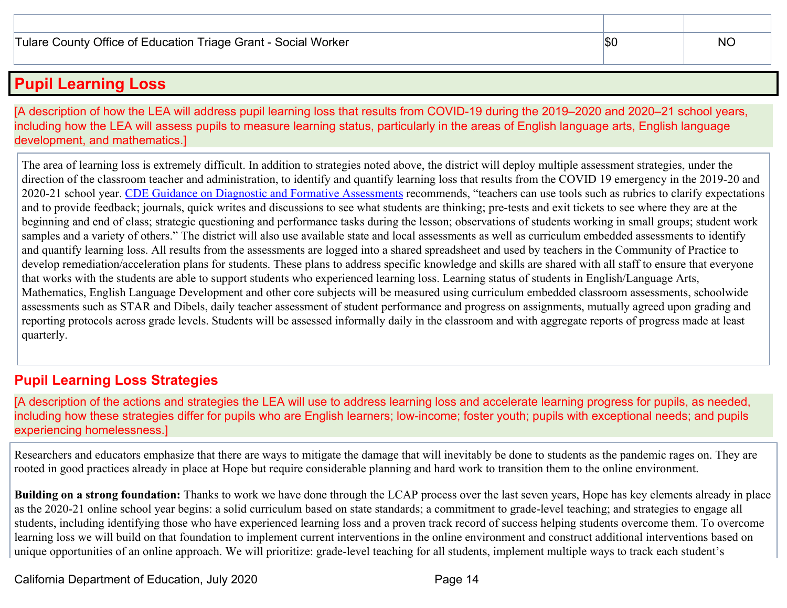## **Pupil Learning Loss**

[A description of how the LEA will address pupil learning loss that results from COVID-19 during the 2019–2020 and 2020–21 school years, including how the LEA will assess pupils to measure learning status, particularly in the areas of English language arts, English language development, and mathematics.]

The area of learning loss is extremely difficult. In addition to strategies noted above, the district will deploy multiple assessment strategies, under the direction of the classroom teacher and administration, to identify and quantify learning loss that results from the COVID 19 emergency in the 2019-20 and 2020-21 school year. [CDE Guidance on Diagnostic and Formative Assessments](https://www.cde.ca.gov/ls/he/hn/guidanceonassessments.asp) recommends, "teachers can use tools such as rubrics to clarify expectations and to provide feedback; journals, quick writes and discussions to see what students are thinking; pre-tests and exit tickets to see where they are at the beginning and end of class; strategic questioning and performance tasks during the lesson; observations of students working in small groups; student work samples and a variety of others." The district will also use available state and local assessments as well as curriculum embedded assessments to identify and quantify learning loss. All results from the assessments are logged into a shared spreadsheet and used by teachers in the Community of Practice to develop remediation/acceleration plans for students. These plans to address specific knowledge and skills are shared with all staff to ensure that everyone that works with the students are able to support students who experienced learning loss. Learning status of students in English/Language Arts, Mathematics, English Language Development and other core subjects will be measured using curriculum embedded classroom assessments, schoolwide assessments such as STAR and Dibels, daily teacher assessment of student performance and progress on assignments, mutually agreed upon grading and reporting protocols across grade levels. Students will be assessed informally daily in the classroom and with aggregate reports of progress made at least quarterly.

### **Pupil Learning Loss Strategies**

[A description of the actions and strategies the LEA will use to address learning loss and accelerate learning progress for pupils, as needed, including how these strategies differ for pupils who are English learners; low-income; foster youth; pupils with exceptional needs; and pupils experiencing homelessness.]

Researchers and educators emphasize that there are ways to mitigate the damage that will inevitably be done to students as the pandemic rages on. They are rooted in good practices already in place at Hope but require considerable planning and hard work to transition them to the online environment.

**Building on a strong foundation:** Thanks to work we have done through the LCAP process over the last seven years, Hope has key elements already in place as the 2020-21 online school year begins: a solid curriculum based on state standards; a commitment to grade-level teaching; and strategies to engage all students, including identifying those who have experienced learning loss and a proven track record of success helping students overcome them. To overcome learning loss we will build on that foundation to implement current interventions in the online environment and construct additional interventions based on unique opportunities of an online approach. We will prioritize: grade-level teaching for all students, implement multiple ways to track each student's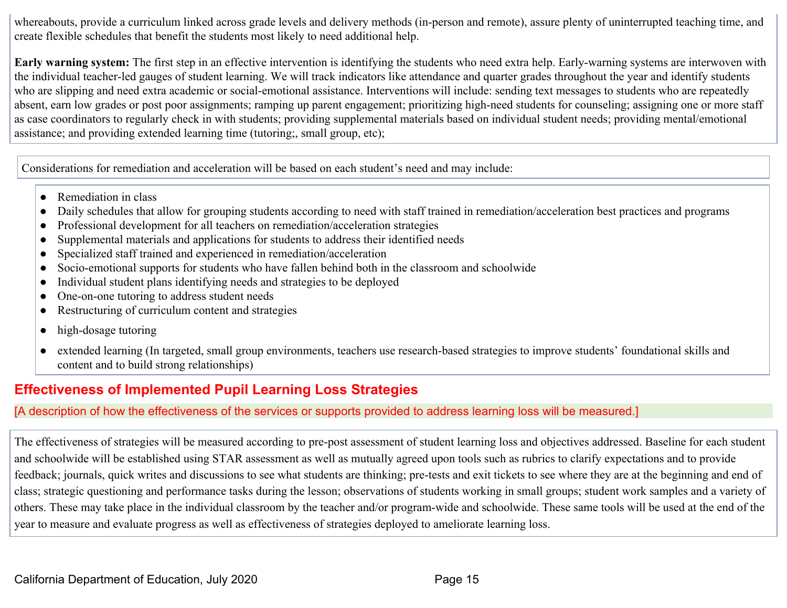whereabouts, provide a curriculum linked across grade levels and delivery methods (in-person and remote), assure plenty of uninterrupted teaching time, and create flexible schedules that benefit the students most likely to need additional help.

**Early warning system:** The first step in an effective intervention is identifying the students who need extra help. Early-warning systems are interwoven with the individual teacher-led gauges of student learning. We will track indicators like attendance and quarter grades throughout the year and identify students who are slipping and need extra academic or social-emotional assistance. Interventions will include: sending text messages to students who are repeatedly absent, earn low grades or post poor assignments; ramping up parent engagement; prioritizing high-need students for counseling; assigning one or more staff as case coordinators to regularly check in with students; providing supplemental materials based on individual student needs; providing mental/emotional assistance; and providing extended learning time (tutoring;, small group, etc);

Considerations for remediation and acceleration will be based on each student's need and may include:

- Remediation in class
- Daily schedules that allow for grouping students according to need with staff trained in remediation/acceleration best practices and programs
- Professional development for all teachers on remediation/acceleration strategies
- Supplemental materials and applications for students to address their identified needs
- Specialized staff trained and experienced in remediation/acceleration
- Socio-emotional supports for students who have fallen behind both in the classroom and schoolwide
- Individual student plans identifying needs and strategies to be deployed
- One-on-one tutoring to address student needs
- Restructuring of curriculum content and strategies
- high-dosage tutoring
- extended learning (In targeted, small group environments, teachers use research-based strategies to improve students' foundational skills and content and to build strong relationships)

## **Effectiveness of Implemented Pupil Learning Loss Strategies**

#### [A description of how the effectiveness of the services or supports provided to address learning loss will be measured.]

The effectiveness of strategies will be measured according to pre-post assessment of student learning loss and objectives addressed. Baseline for each student and schoolwide will be established using STAR assessment as well as mutually agreed upon tools such as rubrics to clarify expectations and to provide feedback; journals, quick writes and discussions to see what students are thinking; pre-tests and exit tickets to see where they are at the beginning and end of class; strategic questioning and performance tasks during the lesson; observations of students working in small groups; student work samples and a variety of others. These may take place in the individual classroom by the teacher and/or program-wide and schoolwide. These same tools will be used at the end of the year to measure and evaluate progress as well as effectiveness of strategies deployed to ameliorate learning loss.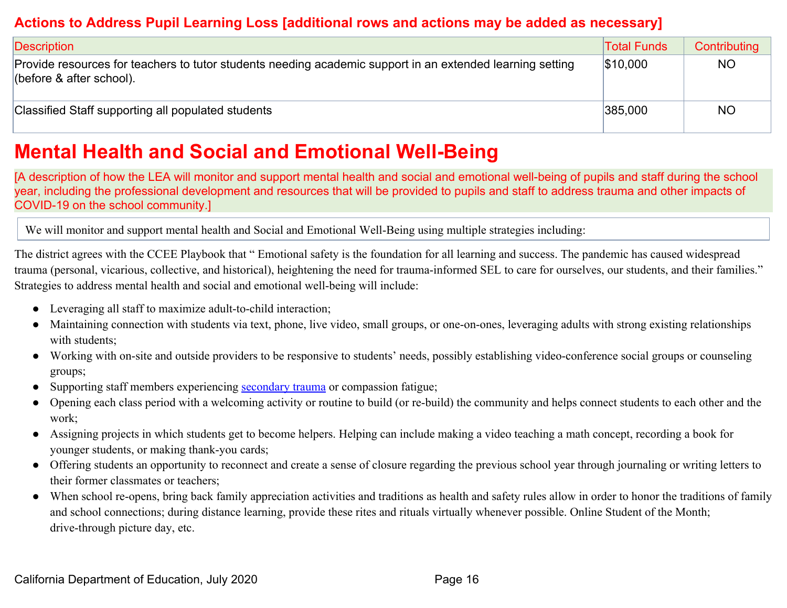### **Actions to Address Pupil Learning Loss [additional rows and actions may be added as necessary]**

| <b>Description</b>                                                                                                                    | <b>Total Funds</b> | Contributing |
|---------------------------------------------------------------------------------------------------------------------------------------|--------------------|--------------|
| Provide resources for teachers to tutor students needing academic support in an extended learning setting<br>(before & after school). | \$10,000           | <b>NO</b>    |
| Classified Staff supporting all populated students                                                                                    | 385,000            | <b>NO</b>    |

# **Mental Health and Social and Emotional Well-Being**

[A description of how the LEA will monitor and support mental health and social and emotional well-being of pupils and staff during the school year, including the professional development and resources that will be provided to pupils and staff to address trauma and other impacts of COVID-19 on the school community.]

We will monitor and support mental health and Social and Emotional Well-Being using multiple strategies including:

The district agrees with the CCEE Playbook that " Emotional safety is the foundation for all learning and success. The pandemic has caused widespread trauma (personal, vicarious, collective, and historical), heightening the need for trauma-informed SEL to care for ourselves, our students, and their families." Strategies to address mental health and social and emotional well-being will include:

- Leveraging all staff to maximize adult-to-child interaction;
- Maintaining connection with students via text, phone, live video, small groups, or one-on-ones, leveraging adults with strong existing relationships with students;
- Working with on-site and outside providers to be responsive to students' needs, possibly establishing video-conference social groups or counseling groups;
- Supporting staff members experiencing [secondary trauma](https://safesupportivelearning.ed.gov/sites/default/files/TSS_Building_Handout_2secondary_trauma.pdf) or compassion fatigue;
- Opening each class period with a welcoming activity or routine to build (or re-build) the community and helps connect students to each other and the work;
- Assigning projects in which students get to become helpers. Helping can include making a video teaching a math concept, recording a book for younger students, or making thank-you cards;
- Offering students an opportunity to reconnect and create a sense of closure regarding the previous school year through journaling or writing letters to their former classmates or teachers;
- When school re-opens, bring back family appreciation activities and traditions as health and safety rules allow in order to honor the traditions of family and school connections; during distance learning, provide these rites and rituals virtually whenever possible. Online Student of the Month; drive-through picture day, etc.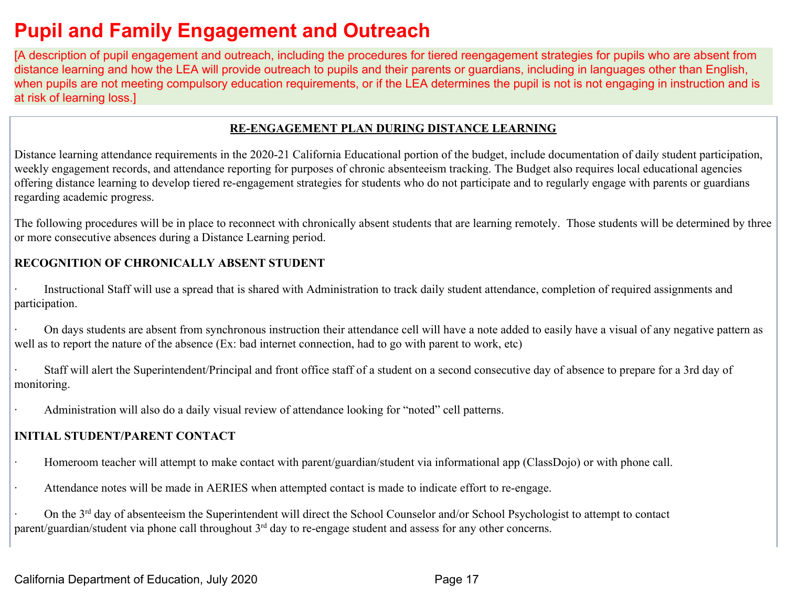# **Pupil and Family Engagement and Outreach**

[A description of pupil engagement and outreach, including the procedures for tiered reengagement strategies for pupils who are absent from distance learning and how the LEA will provide outreach to pupils and their parents or guardians, including in languages other than English, when pupils are not meeting compulsory education requirements, or if the LEA determines the pupil is not is not engaging in instruction and is at risk of learning loss.]

#### **RE-ENGAGEMENT PLAN DURING DISTANCE LEARNING**

Distance learning attendance requirements in the 2020-21 California Educational portion of the budget, include documentation of daily student participation, weekly engagement records, and attendance reporting for purposes of chronic absenteeism tracking. The Budget also requires local educational agencies offering distance learning to develop tiered re-engagement strategies for students who do not participate and to regularly engage with parents or guardians regarding academic progress.

The following procedures will be in place to reconnect with chronically absent students that are learning remotely. Those students will be determined by three or more consecutive absences during a Distance Learning period.

#### **RECOGNITION OF CHRONICALLY ABSENT STUDENT**

Instructional Staff will use a spread that is shared with Administration to track daily student attendance, completion of required assignments and participation.

· On days students are absent from synchronous instruction their attendance cell will have a note added to easily have a visual of any negative pattern as well as to report the nature of the absence (Ex: bad internet connection, had to go with parent to work, etc)

Staff will alert the Superintendent/Principal and front office staff of a student on a second consecutive day of absence to prepare for a 3rd day of monitoring.

Administration will also do a daily visual review of attendance looking for "noted" cell patterns.

#### **INITIAL STUDENT/PARENT CONTACT**

· Homeroom teacher will attempt to make contact with parent/guardian/student via informational app (ClassDojo) or with phone call.

· Attendance notes will be made in AERIES when attempted contact is made to indicate effort to re-engage.

<sup>•</sup> On the 3<sup>rd</sup> day of absenteeism the Superintendent will direct the School Counselor and/or School Psychologist to attempt to contact parent/guardian/student via phone call throughout 3<sup>rd</sup> day to re-engage student and assess for any other concerns.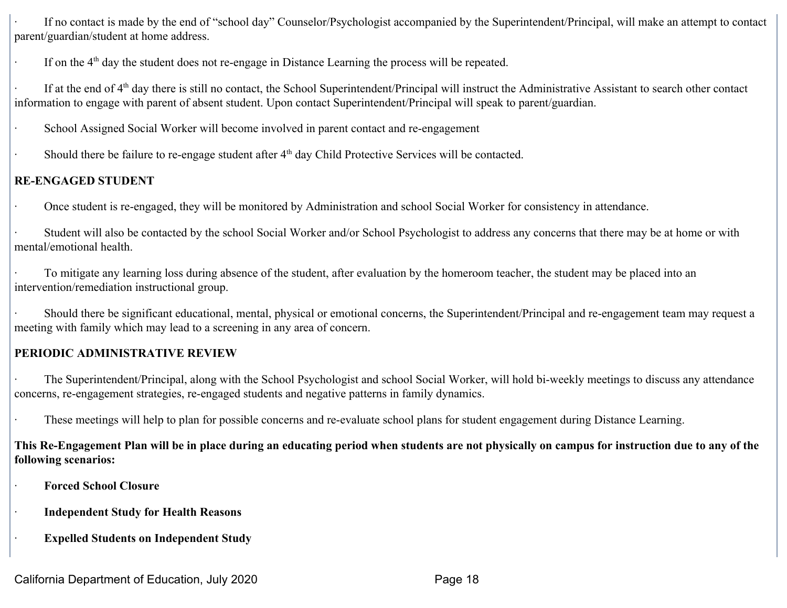If no contact is made by the end of "school day" Counselor/Psychologist accompanied by the Superintendent/Principal, will make an attempt to contact parent/guardian/student at home address.

If on the  $4<sup>th</sup>$  day the student does not re-engage in Distance Learning the process will be repeated.

If at the end of  $4<sup>th</sup>$  day there is still no contact, the School Superintendent/Principal will instruct the Administrative Assistant to search other contact information to engage with parent of absent student. Upon contact Superintendent/Principal will speak to parent/guardian.

School Assigned Social Worker will become involved in parent contact and re-engagement

• Should there be failure to re-engage student after 4<sup>th</sup> day Child Protective Services will be contacted.

#### **RE-ENGAGED STUDENT**

· Once student is re-engaged, they will be monitored by Administration and school Social Worker for consistency in attendance.

Student will also be contacted by the school Social Worker and/or School Psychologist to address any concerns that there may be at home or with mental/emotional health.

To mitigate any learning loss during absence of the student, after evaluation by the homeroom teacher, the student may be placed into an intervention/remediation instructional group.

Should there be significant educational, mental, physical or emotional concerns, the Superintendent/Principal and re-engagement team may request a meeting with family which may lead to a screening in any area of concern.

### **PERIODIC ADMINISTRATIVE REVIEW**

· The Superintendent/Principal, along with the School Psychologist and school Social Worker, will hold bi-weekly meetings to discuss any attendance concerns, re-engagement strategies, re-engaged students and negative patterns in family dynamics.

These meetings will help to plan for possible concerns and re-evaluate school plans for student engagement during Distance Learning.

**This Re-Engagement Plan will be in place during an educating period when students are not physically on campus for instruction due to any of the following scenarios:**

· **Forced School Closure**

· **Independent Study for Health Reasons**

**Expelled Students on Independent Study**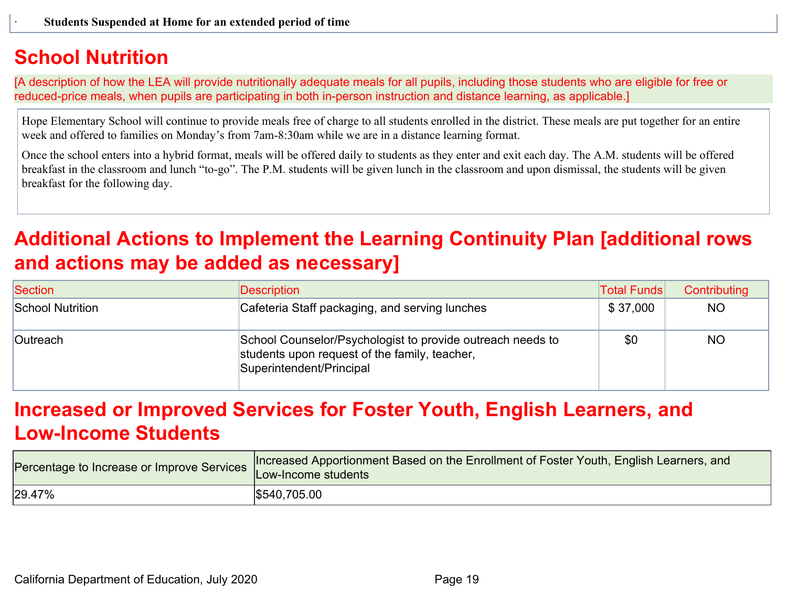## **School Nutrition**

[A description of how the LEA will provide nutritionally adequate meals for all pupils, including those students who are eligible for free or reduced-price meals, when pupils are participating in both in-person instruction and distance learning, as applicable.]

Hope Elementary School will continue to provide meals free of charge to all students enrolled in the district. These meals are put together for an entire week and offered to families on Monday's from 7am-8:30am while we are in a distance learning format.

Once the school enters into a hybrid format, meals will be offered daily to students as they enter and exit each day. The A.M. students will be offered breakfast in the classroom and lunch "to-go". The P.M. students will be given lunch in the classroom and upon dismissal, the students will be given breakfast for the following day.

# **Additional Actions to Implement the Learning Continuity Plan [additional rows and actions may be added as necessary]**

| Section                 | Description                                                                                                                             | <b>Total Funds</b> | Contributing |
|-------------------------|-----------------------------------------------------------------------------------------------------------------------------------------|--------------------|--------------|
| <b>School Nutrition</b> | Cafeteria Staff packaging, and serving lunches                                                                                          | \$37,000           | NO.          |
| <b>Outreach</b>         | School Counselor/Psychologist to provide outreach needs to<br>students upon request of the family, teacher,<br>Superintendent/Principal | \$0                | NO.          |

# **Increased or Improved Services for Foster Youth, English Learners, and Low-Income Students**

| Percentage to Increase or Improve Services | Increased Apportionment Based on the Enrollment of Foster Youth, English Learners, and<br>Low-Income students |
|--------------------------------------------|---------------------------------------------------------------------------------------------------------------|
| 29.47%                                     | \$540,705.00                                                                                                  |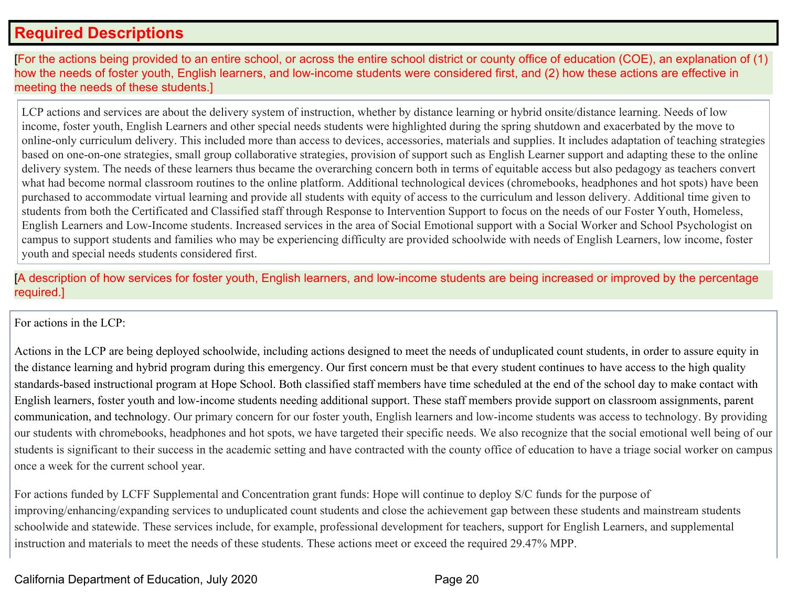## **Required Descriptions**

[For the actions being provided to an entire school, or across the entire school district or county office of education (COE), an explanation of (1) how the needs of foster youth, English learners, and low-income students were considered first, and (2) how these actions are effective in meeting the needs of these students.]

LCP actions and services are about the delivery system of instruction, whether by distance learning or hybrid onsite/distance learning. Needs of low income, foster youth, English Learners and other special needs students were highlighted during the spring shutdown and exacerbated by the move to online-only curriculum delivery. This included more than access to devices, accessories, materials and supplies. It includes adaptation of teaching strategies based on one-on-one strategies, small group collaborative strategies, provision of support such as English Learner support and adapting these to the online delivery system. The needs of these learners thus became the overarching concern both in terms of equitable access but also pedagogy as teachers convert what had become normal classroom routines to the online platform. Additional technological devices (chromebooks, headphones and hot spots) have been purchased to accommodate virtual learning and provide all students with equity of access to the curriculum and lesson delivery. Additional time given to students from both the Certificated and Classified staff through Response to Intervention Support to focus on the needs of our Foster Youth, Homeless, English Learners and Low-Income students. Increased services in the area of Social Emotional support with a Social Worker and School Psychologist on campus to support students and families who may be experiencing difficulty are provided schoolwide with needs of English Learners, low income, foster youth and special needs students considered first.

[A description of how services for foster youth, English learners, and low-income students are being increased or improved by the percentage required.]

For actions in the LCP:

Actions in the LCP are being deployed schoolwide, including actions designed to meet the needs of unduplicated count students, in order to assure equity in the distance learning and hybrid program during this emergency. Our first concern must be that every student continues to have access to the high quality standards-based instructional program at Hope School. Both classified staff members have time scheduled at the end of the school day to make contact with English learners, foster youth and low-income students needing additional support. These staff members provide support on classroom assignments, parent communication, and technology. Our primary concern for our foster youth, English learners and low-income students was access to technology. By providing our students with chromebooks, headphones and hot spots, we have targeted their specific needs. We also recognize that the social emotional well being of our students is significant to their success in the academic setting and have contracted with the county office of education to have a triage social worker on campus once a week for the current school year.

For actions funded by LCFF Supplemental and Concentration grant funds: Hope will continue to deploy S/C funds for the purpose of improving/enhancing/expanding services to unduplicated count students and close the achievement gap between these students and mainstream students schoolwide and statewide. These services include, for example, professional development for teachers, support for English Learners, and supplemental instruction and materials to meet the needs of these students. These actions meet or exceed the required 29.47% MPP.